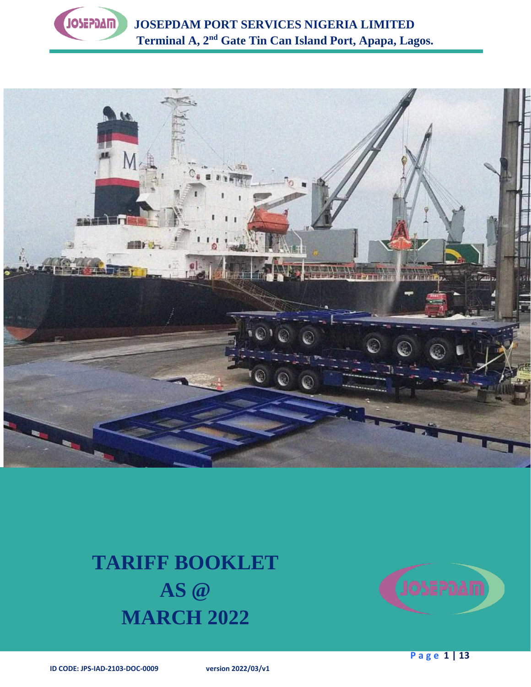

 **JOSEPDAM PORT SERVICES NIGERIA LIMITED Terminal A, 2nd Gate Tin Can Island Port, Apapa, Lagos.**



# **TARIFF BOOKLET AS @ MARCH 2022**

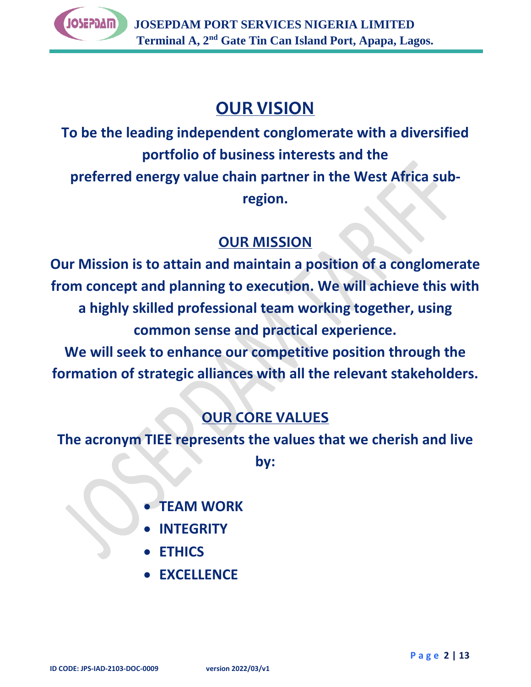

# **OUR VISION**

**To be the leading independent conglomerate with a diversified portfolio of business interests and the preferred energy value chain partner in the West Africa subregion.**

# **OUR MISSION**

**Our Mission is to attain and maintain a position of a conglomerate from concept and planning to execution. We will achieve this with a highly skilled professional team working together, using common sense and practical experience.**

**We will seek to enhance our competitive position through the formation of strategic alliances with all the relevant stakeholders.**

# **OUR CORE VALUES**

**The acronym TIEE represents the values that we cherish and live by:**

- **TEAM WORK**
- **INTEGRITY**
- **ETHICS**
- **EXCELLENCE**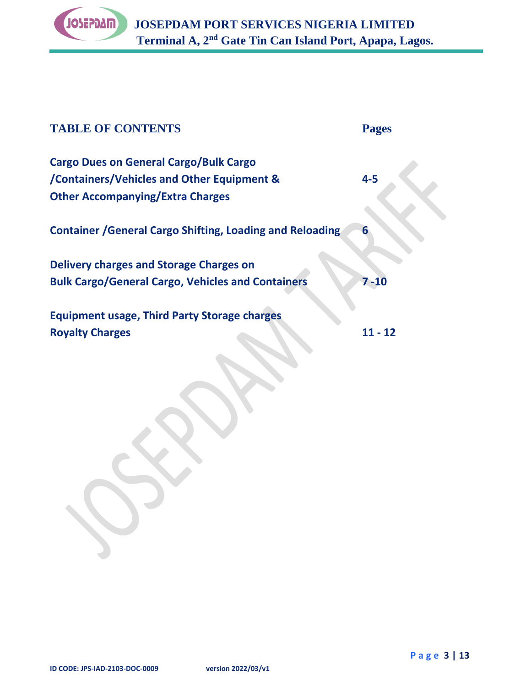

| <b>TABLE OF CONTENTS</b>                                                                                                               | <b>Pages</b> |
|----------------------------------------------------------------------------------------------------------------------------------------|--------------|
| <b>Cargo Dues on General Cargo/Bulk Cargo</b><br>/Containers/Vehicles and Other Equipment &<br><b>Other Accompanying/Extra Charges</b> | $4 - 5$      |
| <b>Container / General Cargo Shifting, Loading and Reloading</b>                                                                       | 6            |
| Delivery charges and Storage Charges on<br><b>Bulk Cargo/General Cargo, Vehicles and Containers</b>                                    | $7 - 10$     |
| <b>Equipment usage, Third Party Storage charges</b><br><b>Royalty Charges</b>                                                          | 11 - 12      |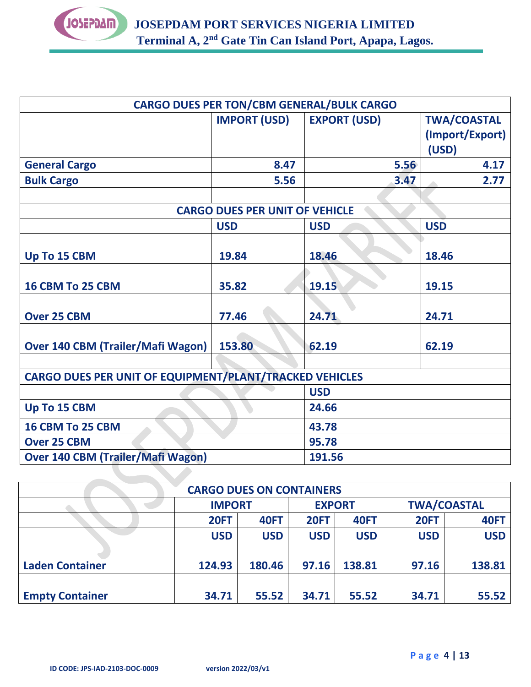

|                                                                |                                       | <b>CARGO DUES PER TON/CBM GENERAL/BULK CARGO</b> |                    |  |  |  |
|----------------------------------------------------------------|---------------------------------------|--------------------------------------------------|--------------------|--|--|--|
|                                                                | <b>IMPORT (USD)</b>                   | <b>EXPORT (USD)</b>                              | <b>TWA/COASTAL</b> |  |  |  |
|                                                                |                                       |                                                  | (Import/Export)    |  |  |  |
|                                                                |                                       |                                                  | (USD)              |  |  |  |
| <b>General Cargo</b>                                           | 8.47                                  | 5.56                                             | 4.17               |  |  |  |
| <b>Bulk Cargo</b>                                              | 5.56                                  | 3.47                                             | 2.77               |  |  |  |
|                                                                |                                       |                                                  |                    |  |  |  |
|                                                                | <b>CARGO DUES PER UNIT OF VEHICLE</b> |                                                  |                    |  |  |  |
|                                                                | <b>USD</b>                            | <b>USD</b>                                       | <b>USD</b>         |  |  |  |
|                                                                |                                       |                                                  |                    |  |  |  |
| Up To 15 CBM                                                   | 19.84                                 | 18.46                                            | 18.46              |  |  |  |
|                                                                |                                       |                                                  |                    |  |  |  |
| 16 CBM To 25 CBM                                               | 35.82                                 | 19.15                                            | 19.15              |  |  |  |
|                                                                |                                       |                                                  |                    |  |  |  |
| <b>Over 25 CBM</b>                                             | 77.46                                 | 24.71                                            | 24.71              |  |  |  |
|                                                                |                                       |                                                  |                    |  |  |  |
| <b>Over 140 CBM (Trailer/Mafi Wagon)</b>                       | 153.80                                | 62.19                                            | 62.19              |  |  |  |
|                                                                |                                       |                                                  |                    |  |  |  |
| <b>CARGO DUES PER UNIT OF EQUIPMENT/PLANT/TRACKED VEHICLES</b> |                                       |                                                  |                    |  |  |  |
|                                                                | <b>USD</b>                            |                                                  |                    |  |  |  |
| Up To 15 CBM                                                   |                                       | 24.66                                            |                    |  |  |  |
| 16 CBM To 25 CBM                                               |                                       | 43.78                                            |                    |  |  |  |
| <b>Over 25 CBM</b>                                             |                                       | 95.78                                            |                    |  |  |  |
| <b>Over 140 CBM (Trailer/Mafi Wagon)</b>                       |                                       | 191.56                                           |                    |  |  |  |
|                                                                |                                       |                                                  |                    |  |  |  |

| <b>CARGO DUES ON CONTAINERS</b> |               |             |               |             |                    |             |  |
|---------------------------------|---------------|-------------|---------------|-------------|--------------------|-------------|--|
|                                 | <b>IMPORT</b> |             | <b>EXPORT</b> |             | <b>TWA/COASTAL</b> |             |  |
|                                 | <b>20FT</b>   | <b>40FT</b> | <b>20FT</b>   | <b>40FT</b> | <b>20FT</b>        | <b>40FT</b> |  |
|                                 | <b>USD</b>    | <b>USD</b>  | <b>USD</b>    | <b>USD</b>  | <b>USD</b>         | <b>USD</b>  |  |
|                                 |               |             |               |             |                    |             |  |
| <b>Laden Container</b>          | 124.93        | 180.46      | 97.16         | 138.81      | 97.16              | 138.81      |  |
|                                 |               |             |               |             |                    |             |  |
| <b>Empty Container</b>          | 34.71         | 55.52       | 34.71         | 55.52       | 34.71              | 55.52       |  |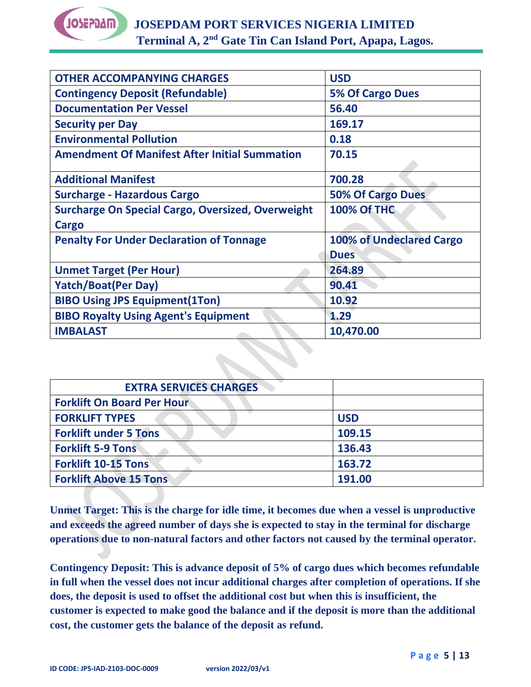

| <b>OTHER ACCOMPANYING CHARGES</b>                        | <b>USD</b>                      |
|----------------------------------------------------------|---------------------------------|
| <b>Contingency Deposit (Refundable)</b>                  | <b>5% Of Cargo Dues</b>         |
| <b>Documentation Per Vessel</b>                          | 56.40                           |
| <b>Security per Day</b>                                  | 169.17                          |
| <b>Environmental Pollution</b>                           | 0.18                            |
| <b>Amendment Of Manifest After Initial Summation</b>     | 70.15                           |
| <b>Additional Manifest</b>                               | 700.28                          |
| <b>Surcharge - Hazardous Cargo</b>                       | <b>50% Of Cargo Dues</b>        |
| <b>Surcharge On Special Cargo, Oversized, Overweight</b> | <b>100% Of THC</b>              |
| Cargo                                                    |                                 |
| <b>Penalty For Under Declaration of Tonnage</b>          | <b>100% of Undeclared Cargo</b> |
|                                                          | <b>Dues</b>                     |
| <b>Unmet Target (Per Hour)</b>                           | 264.89                          |
| <b>Yatch/Boat(Per Day)</b>                               | 90.41                           |
| <b>BIBO Using JPS Equipment(1Ton)</b>                    | 10.92                           |
| <b>BIBO Royalty Using Agent's Equipment</b>              | 1.29                            |
| <b>IMBALAST</b>                                          | 10,470.00                       |

| <b>EXTRA SERVICES CHARGES</b>     |            |
|-----------------------------------|------------|
| <b>Forklift On Board Per Hour</b> |            |
| <b>FORKLIFT TYPES</b>             | <b>USD</b> |
| <b>Forklift under 5 Tons</b>      | 109.15     |
| <b>Forklift 5-9 Tons</b>          | 136.43     |
| <b>Forklift 10-15 Tons</b>        | 163.72     |
| <b>Forklift Above 15 Tons</b>     | 191.00     |

**Unmet Target: This is the charge for idle time, it becomes due when a vessel is unproductive and exceeds the agreed number of days she is expected to stay in the terminal for discharge operations due to non-natural factors and other factors not caused by the terminal operator.**

**Contingency Deposit: This is advance deposit of 5% of cargo dues which becomes refundable in full when the vessel does not incur additional charges after completion of operations. If she does, the deposit is used to offset the additional cost but when this is insufficient, the customer is expected to make good the balance and if the deposit is more than the additional cost, the customer gets the balance of the deposit as refund.**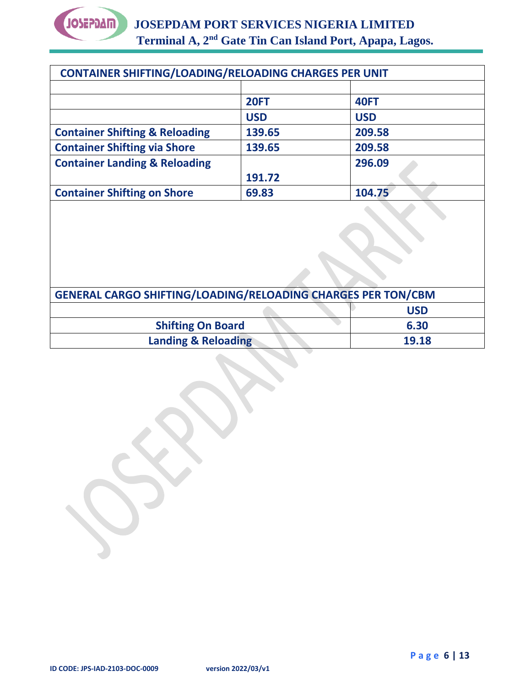

| <b>CONTAINER SHIFTING/LOADING/RELOADING CHARGES PER UNIT</b> |             |             |
|--------------------------------------------------------------|-------------|-------------|
|                                                              |             |             |
|                                                              | <b>20FT</b> | <b>40FT</b> |
|                                                              | <b>USD</b>  | <b>USD</b>  |
| <b>Container Shifting &amp; Reloading</b>                    | 139.65      | 209.58      |
| <b>Container Shifting via Shore</b>                          | 139.65      | 209.58      |
| <b>Container Landing &amp; Reloading</b>                     |             | 296.09      |
|                                                              | 191.72      |             |
| <b>Container Shifting on Shore</b>                           | 69.83       | 104.75      |

| <b>GENERAL CARGO SHIFTING/LOADING/RELOADING CHARGES PER TON/CBM</b> |            |  |  |  |
|---------------------------------------------------------------------|------------|--|--|--|
|                                                                     | <b>USD</b> |  |  |  |
| <b>Shifting On Board</b>                                            | 6.30       |  |  |  |
| <b>Landing &amp; Reloading</b>                                      | 19.18      |  |  |  |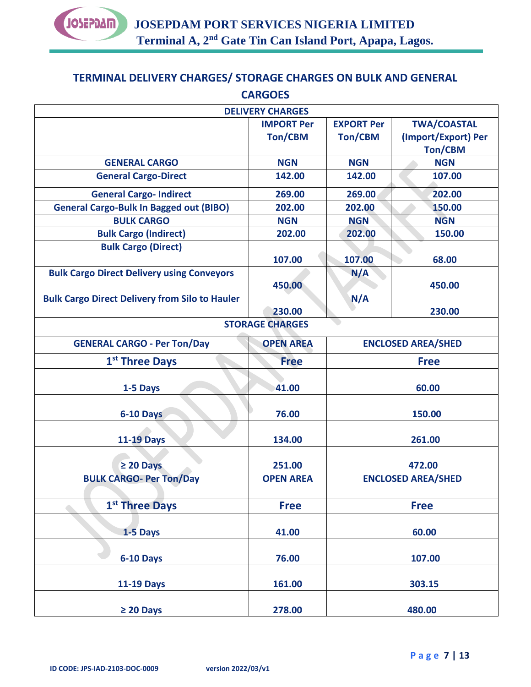

# **TERMINAL DELIVERY CHARGES/ STORAGE CHARGES ON BULK AND GENERAL CARGOES**

|                                                       | <b>DELIVERY CHARGES</b> |                           |                           |  |
|-------------------------------------------------------|-------------------------|---------------------------|---------------------------|--|
|                                                       | <b>IMPORT Per</b>       | <b>EXPORT Per</b>         | <b>TWA/COASTAL</b>        |  |
|                                                       | Ton/CBM                 | <b>Ton/CBM</b>            | (Import/Export) Per       |  |
|                                                       |                         |                           | <b>Ton/CBM</b>            |  |
| <b>GENERAL CARGO</b>                                  | <b>NGN</b>              | <b>NGN</b>                | <b>NGN</b>                |  |
| <b>General Cargo-Direct</b>                           | 142.00                  | 142.00                    | 107.00                    |  |
| <b>General Cargo-Indirect</b>                         | 269.00                  | 269.00                    | 202.00                    |  |
| <b>General Cargo-Bulk In Bagged out (BIBO)</b>        | 202.00                  | 202.00                    | 150.00                    |  |
| <b>BULK CARGO</b>                                     | <b>NGN</b>              | <b>NGN</b>                | <b>NGN</b>                |  |
| <b>Bulk Cargo (Indirect)</b>                          | 202.00                  | 202.00                    | 150.00                    |  |
| <b>Bulk Cargo (Direct)</b>                            |                         |                           |                           |  |
|                                                       | 107.00                  | 107.00                    | 68.00                     |  |
| <b>Bulk Cargo Direct Delivery using Conveyors</b>     |                         | N/A                       |                           |  |
|                                                       | 450.00                  |                           | 450.00                    |  |
| <b>Bulk Cargo Direct Delivery from Silo to Hauler</b> |                         | N/A                       |                           |  |
|                                                       | 230.00                  |                           | 230.00                    |  |
|                                                       | <b>STORAGE CHARGES</b>  |                           |                           |  |
| <b>GENERAL CARGO - Per Ton/Day</b>                    | <b>OPEN AREA</b>        | <b>ENCLOSED AREA/SHED</b> |                           |  |
| 1 <sup>st</sup> Three Days                            | <b>Free</b>             | <b>Free</b>               |                           |  |
|                                                       |                         |                           |                           |  |
| 1-5 Days                                              | 41.00                   | 60.00                     |                           |  |
|                                                       |                         |                           |                           |  |
| 6-10 Days                                             | 76.00                   | 150.00                    |                           |  |
| <b>11-19 Days</b>                                     | 134.00                  | 261.00                    |                           |  |
|                                                       |                         |                           |                           |  |
| $\geq 20$ Days                                        | 251.00                  |                           | 472.00                    |  |
| <b>BULK CARGO- Per Ton/Day</b>                        | <b>OPEN AREA</b>        |                           | <b>ENCLOSED AREA/SHED</b> |  |
|                                                       |                         |                           |                           |  |
| 1 <sup>st</sup> Three Days                            | <b>Free</b>             |                           | <b>Free</b>               |  |
|                                                       |                         |                           |                           |  |
| 1-5 Days                                              | 41.00                   | 60.00                     |                           |  |
|                                                       |                         |                           |                           |  |
| 6-10 Days                                             | 76.00                   |                           | 107.00                    |  |
| <b>11-19 Days</b>                                     | 161.00                  |                           | 303.15                    |  |
|                                                       |                         |                           |                           |  |
| $\geq 20$ Days                                        | 278.00                  |                           | 480.00                    |  |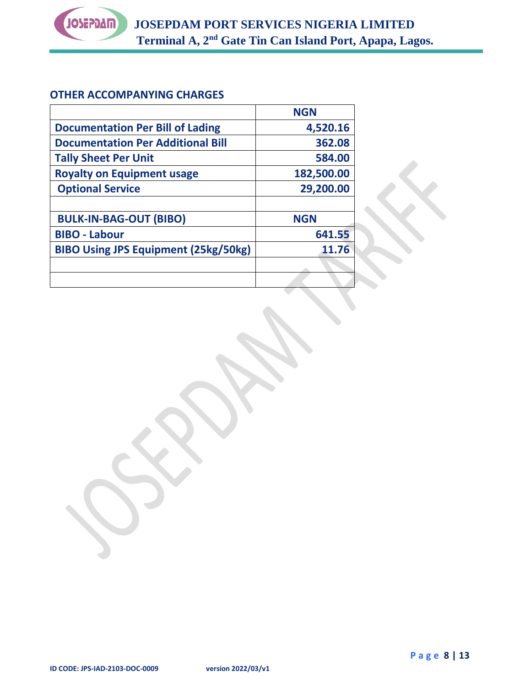

#### **OTHER ACCOMPANYING CHARGES**

|                                             | <b>NGN</b> |
|---------------------------------------------|------------|
| <b>Documentation Per Bill of Lading</b>     | 4,520.16   |
| <b>Documentation Per Additional Bill</b>    | 362.08     |
| <b>Tally Sheet Per Unit</b>                 | 584.00     |
| <b>Royalty on Equipment usage</b>           | 182,500.00 |
| <b>Optional Service</b>                     | 29,200.00  |
|                                             |            |
| <b>BULK-IN-BAG-OUT (BIBO)</b>               | <b>NGN</b> |
| <b>BIBO - Labour</b>                        | 641.55     |
| <b>BIBO Using JPS Equipment (25kg/50kg)</b> | 11.76      |
|                                             |            |
|                                             |            |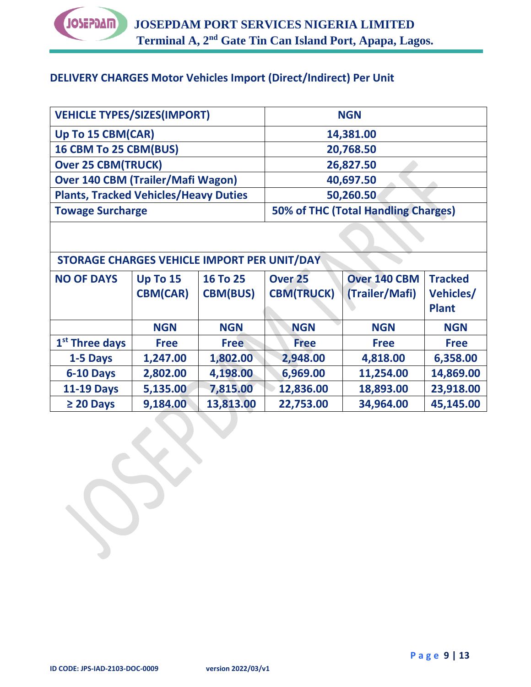

# **DELIVERY CHARGES Motor Vehicles Import (Direct/Indirect) Per Unit**

| <b>VEHICLE TYPES/SIZES(IMPORT)</b>           | <b>NGN</b>                          |
|----------------------------------------------|-------------------------------------|
| Up To 15 CBM(CAR)                            | 14,381.00                           |
| 16 CBM To 25 CBM(BUS)                        | 20,768.50                           |
| <b>Over 25 CBM(TRUCK)</b>                    | 26,827.50                           |
| <b>Over 140 CBM (Trailer/Mafi Wagon)</b>     | 40,697.50                           |
| <b>Plants, Tracked Vehicles/Heavy Duties</b> | 50,260.50                           |
| <b>Towage Surcharge</b>                      | 50% of THC (Total Handling Charges) |

# **STORAGE CHARGES VEHICLE IMPORT PER UNIT/DAY**

| <b>NO OF DAYS</b>          | <b>Up To 15</b> | 16 To 25        | Over <sub>25</sub> | <b>Over 140 CBM</b> | <b>Tracked</b>   |
|----------------------------|-----------------|-----------------|--------------------|---------------------|------------------|
|                            | <b>CBM(CAR)</b> | <b>CBM(BUS)</b> | <b>CBM(TRUCK)</b>  | (Trailer/Mafi)      | <b>Vehicles/</b> |
|                            |                 |                 |                    |                     | <b>Plant</b>     |
|                            | <b>NGN</b>      | <b>NGN</b>      | <b>NGN</b>         | <b>NGN</b>          | <b>NGN</b>       |
| 1 <sup>st</sup> Three days | <b>Free</b>     | <b>Free</b>     | <b>Free</b>        | <b>Free</b>         | <b>Free</b>      |
| 1-5 Days                   | 1,247.00        | 1,802.00        | 2,948.00           | 4,818.00            | 6,358.00         |
| 6-10 Days                  | 2,802.00        | 4,198.00        | 6,969.00           | 11,254.00           | 14,869.00        |
| <b>11-19 Days</b>          | 5,135.00        | 7,815.00        | 12,836.00          | 18,893.00           | 23,918.00        |
| $\geq 20$ Days             | 9,184.00        | 13,813.00       | 22,753.00          | 34,964.00           | 45,145.00        |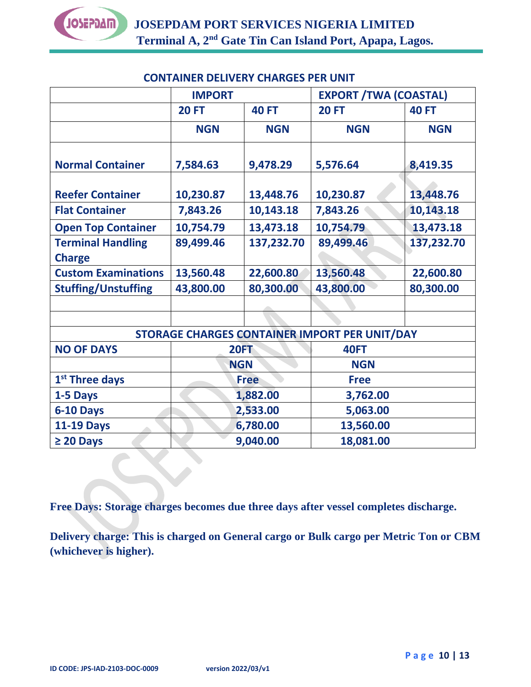|                                           | <b>IMPORT</b> |              | <b>EXPORT / TWA (COASTAL)</b>                 |              |
|-------------------------------------------|---------------|--------------|-----------------------------------------------|--------------|
|                                           | <b>20 FT</b>  | <b>40 FT</b> | <b>20 FT</b>                                  | <b>40 FT</b> |
|                                           | <b>NGN</b>    | <b>NGN</b>   | <b>NGN</b>                                    | <b>NGN</b>   |
| <b>Normal Container</b>                   | 7,584.63      | 9,478.29     | 5,576.64                                      | 8,419.35     |
| <b>Reefer Container</b>                   | 10,230.87     | 13,448.76    | 10,230.87                                     | 13,448.76    |
| <b>Flat Container</b>                     | 7,843.26      | 10,143.18    | 7,843.26                                      | 10,143.18    |
| <b>Open Top Container</b>                 | 10,754.79     | 13,473.18    | 10,754.79                                     | 13,473.18    |
| <b>Terminal Handling</b><br><b>Charge</b> | 89,499.46     | 137,232.70   | 89,499.46                                     | 137,232.70   |
| <b>Custom Examinations</b>                | 13,560.48     | 22,600.80    | 13,560.48                                     | 22,600.80    |
| <b>Stuffing/Unstuffing</b>                | 43,800.00     | 80,300.00    | 43,800.00                                     | 80,300.00    |
|                                           |               |              |                                               |              |
|                                           |               |              | STORAGE CHARGES CONTAINER IMPORT PER UNIT/DAY |              |
| <b>NO OF DAYS</b>                         |               | <b>20FT</b>  | <b>40FT</b>                                   |              |
|                                           |               | <b>NGN</b>   | <b>NGN</b>                                    |              |
| 1 <sup>st</sup> Three days                | <b>Free</b>   |              | <b>Free</b>                                   |              |
| 1-5 Days                                  | 1,882.00      |              | 3,762.00                                      |              |
| 6-10 Days                                 | 2,533.00      |              | 5,063.00                                      |              |
| <b>11-19 Days</b>                         | 6,780.00      |              | 13,560.00                                     |              |
| $\geq 20$ Days                            | 9,040.00      |              | 18,081.00                                     |              |

## **CONTAINER DELIVERY CHARGES PER UNIT**

**Free Days: Storage charges becomes due three days after vessel completes discharge.**

**Delivery charge: This is charged on General cargo or Bulk cargo per Metric Ton or CBM (whichever is higher).**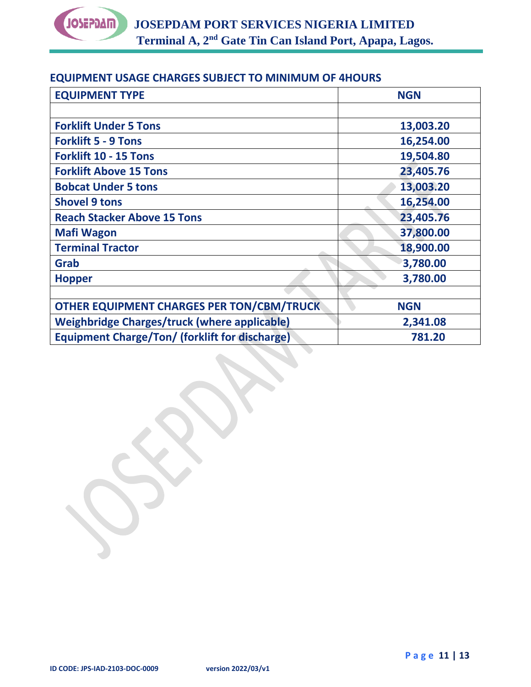

#### **EQUIPMENT USAGE CHARGES SUBJECT TO MINIMUM OF 4HOURS**

| <b>EQUIPMENT TYPE</b>                                 | <b>NGN</b> |
|-------------------------------------------------------|------------|
|                                                       |            |
| <b>Forklift Under 5 Tons</b>                          | 13,003.20  |
| <b>Forklift 5 - 9 Tons</b>                            | 16,254.00  |
| <b>Forklift 10 - 15 Tons</b>                          | 19,504.80  |
| <b>Forklift Above 15 Tons</b>                         | 23,405.76  |
| <b>Bobcat Under 5 tons</b>                            | 13,003.20  |
| <b>Shovel 9 tons</b>                                  | 16,254.00  |
| <b>Reach Stacker Above 15 Tons</b>                    | 23,405.76  |
| <b>Mafi Wagon</b>                                     | 37,800.00  |
| <b>Terminal Tractor</b>                               | 18,900.00  |
| Grab                                                  | 3,780.00   |
| <b>Hopper</b>                                         | 3,780.00   |
|                                                       |            |
| <b>OTHER EQUIPMENT CHARGES PER TON/CBM/TRUCK</b>      | <b>NGN</b> |
| <b>Weighbridge Charges/truck (where applicable)</b>   | 2,341.08   |
| <b>Equipment Charge/Ton/ (forklift for discharge)</b> | 781.20     |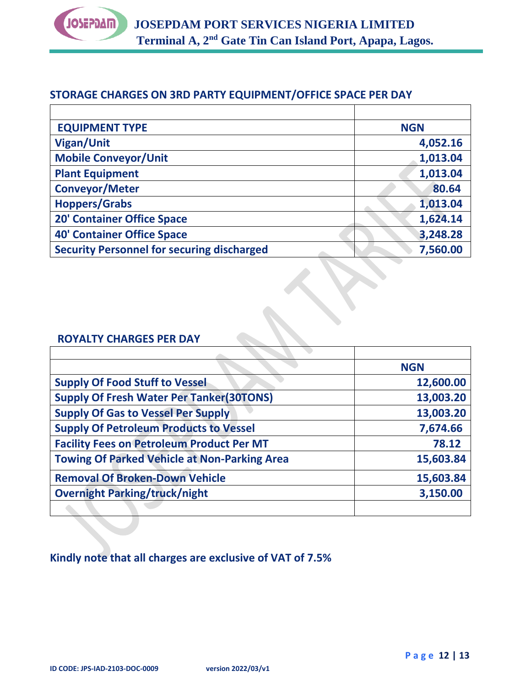

#### **STORAGE CHARGES ON 3RD PARTY EQUIPMENT/OFFICE SPACE PER DAY**

| <b>EQUIPMENT TYPE</b>                             | <b>NGN</b> |
|---------------------------------------------------|------------|
| <b>Vigan/Unit</b>                                 | 4,052.16   |
| <b>Mobile Conveyor/Unit</b>                       | 1,013.04   |
| <b>Plant Equipment</b>                            | 1,013.04   |
| <b>Conveyor/Meter</b>                             | 80.64      |
| <b>Hoppers/Grabs</b>                              | 1,013.04   |
| <b>20' Container Office Space</b>                 | 1,624.14   |
| <b>40' Container Office Space</b>                 | 3,248.28   |
| <b>Security Personnel for securing discharged</b> | 7,560.00   |

#### **ROYALTY CHARGES PER DAY**

|                                                     | <b>NGN</b> |
|-----------------------------------------------------|------------|
| <b>Supply Of Food Stuff to Vessel</b>               | 12,600.00  |
| <b>Supply Of Fresh Water Per Tanker(30TONS)</b>     | 13,003.20  |
| <b>Supply Of Gas to Vessel Per Supply</b>           | 13,003.20  |
| <b>Supply Of Petroleum Products to Vessel</b>       | 7,674.66   |
| <b>Facility Fees on Petroleum Product Per MT</b>    | 78.12      |
| <b>Towing Of Parked Vehicle at Non-Parking Area</b> | 15,603.84  |
| <b>Removal Of Broken-Down Vehicle</b>               | 15,603.84  |
| <b>Overnight Parking/truck/night</b>                | 3,150.00   |
|                                                     |            |

### **Kindly note that all charges are exclusive of VAT of 7.5%**